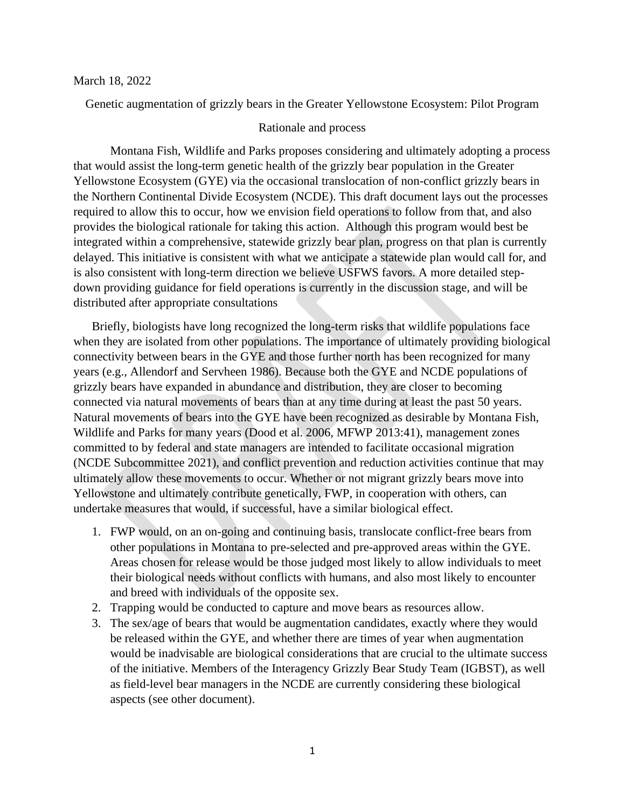#### March 18, 2022

Genetic augmentation of grizzly bears in the Greater Yellowstone Ecosystem: Pilot Program

## Rationale and process

Montana Fish, Wildlife and Parks proposes considering and ultimately adopting a process that would assist the long-term genetic health of the grizzly bear population in the Greater Yellowstone Ecosystem (GYE) via the occasional translocation of non-conflict grizzly bears in the Northern Continental Divide Ecosystem (NCDE). This draft document lays out the processes required to allow this to occur, how we envision field operations to follow from that, and also provides the biological rationale for taking this action. Although this program would best be integrated within a comprehensive, statewide grizzly bear plan, progress on that plan is currently delayed. This initiative is consistent with what we anticipate a statewide plan would call for, and is also consistent with long-term direction we believe USFWS favors. A more detailed stepdown providing guidance for field operations is currently in the discussion stage, and will be distributed after appropriate consultations

Briefly, biologists have long recognized the long-term risks that wildlife populations face when they are isolated from other populations. The importance of ultimately providing biological connectivity between bears in the GYE and those further north has been recognized for many years (e.g., Allendorf and Servheen 1986). Because both the GYE and NCDE populations of grizzly bears have expanded in abundance and distribution, they are closer to becoming connected via natural movements of bears than at any time during at least the past 50 years. Natural movements of bears into the GYE have been recognized as desirable by Montana Fish, Wildlife and Parks for many years (Dood et al. 2006, MFWP 2013:41), management zones committed to by federal and state managers are intended to facilitate occasional migration (NCDE Subcommittee 2021), and conflict prevention and reduction activities continue that may ultimately allow these movements to occur. Whether or not migrant grizzly bears move into Yellowstone and ultimately contribute genetically, FWP, in cooperation with others, can undertake measures that would, if successful, have a similar biological effect.

- 1. FWP would, on an on-going and continuing basis, translocate conflict-free bears from other populations in Montana to pre-selected and pre-approved areas within the GYE. Areas chosen for release would be those judged most likely to allow individuals to meet their biological needs without conflicts with humans, and also most likely to encounter and breed with individuals of the opposite sex.
- 2. Trapping would be conducted to capture and move bears as resources allow.
- 3. The sex/age of bears that would be augmentation candidates, exactly where they would be released within the GYE, and whether there are times of year when augmentation would be inadvisable are biological considerations that are crucial to the ultimate success of the initiative. Members of the Interagency Grizzly Bear Study Team (IGBST), as well as field-level bear managers in the NCDE are currently considering these biological aspects (see other document).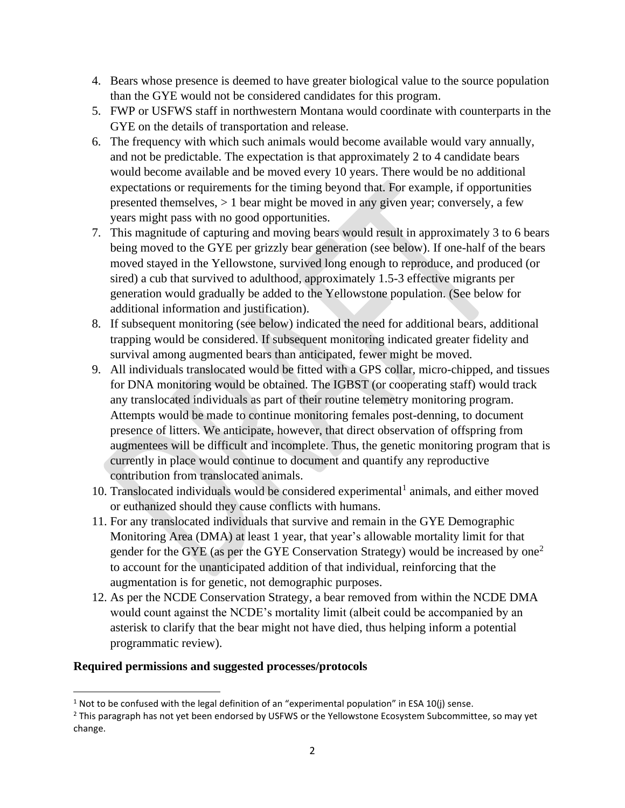- 4. Bears whose presence is deemed to have greater biological value to the source population than the GYE would not be considered candidates for this program.
- 5. FWP or USFWS staff in northwestern Montana would coordinate with counterparts in the GYE on the details of transportation and release.
- 6. The frequency with which such animals would become available would vary annually, and not be predictable. The expectation is that approximately 2 to 4 candidate bears would become available and be moved every 10 years. There would be no additional expectations or requirements for the timing beyond that. For example, if opportunities presented themselves,  $> 1$  bear might be moved in any given year; conversely, a few years might pass with no good opportunities.
- 7. This magnitude of capturing and moving bears would result in approximately 3 to 6 bears being moved to the GYE per grizzly bear generation (see below). If one-half of the bears moved stayed in the Yellowstone, survived long enough to reproduce, and produced (or sired) a cub that survived to adulthood, approximately 1.5-3 effective migrants per generation would gradually be added to the Yellowstone population. (See below for additional information and justification).
- 8. If subsequent monitoring (see below) indicated the need for additional bears, additional trapping would be considered. If subsequent monitoring indicated greater fidelity and survival among augmented bears than anticipated, fewer might be moved.
- 9. All individuals translocated would be fitted with a GPS collar, micro-chipped, and tissues for DNA monitoring would be obtained. The IGBST (or cooperating staff) would track any translocated individuals as part of their routine telemetry monitoring program. Attempts would be made to continue monitoring females post-denning, to document presence of litters. We anticipate, however, that direct observation of offspring from augmentees will be difficult and incomplete. Thus, the genetic monitoring program that is currently in place would continue to document and quantify any reproductive contribution from translocated animals.
- 10. Translocated individuals would be considered experimental<sup>1</sup> animals, and either moved or euthanized should they cause conflicts with humans.
- 11. For any translocated individuals that survive and remain in the GYE Demographic Monitoring Area (DMA) at least 1 year, that year's allowable mortality limit for that gender for the GYE (as per the GYE Conservation Strategy) would be increased by one<sup>2</sup> to account for the unanticipated addition of that individual, reinforcing that the augmentation is for genetic, not demographic purposes.
- 12. As per the NCDE Conservation Strategy, a bear removed from within the NCDE DMA would count against the NCDE's mortality limit (albeit could be accompanied by an asterisk to clarify that the bear might not have died, thus helping inform a potential programmatic review).

# **Required permissions and suggested processes/protocols**

<sup>&</sup>lt;sup>1</sup> Not to be confused with the legal definition of an "experimental population" in ESA 10(j) sense.

 $<sup>2</sup>$  This paragraph has not yet been endorsed by USFWS or the Yellowstone Ecosystem Subcommittee, so may yet</sup> change.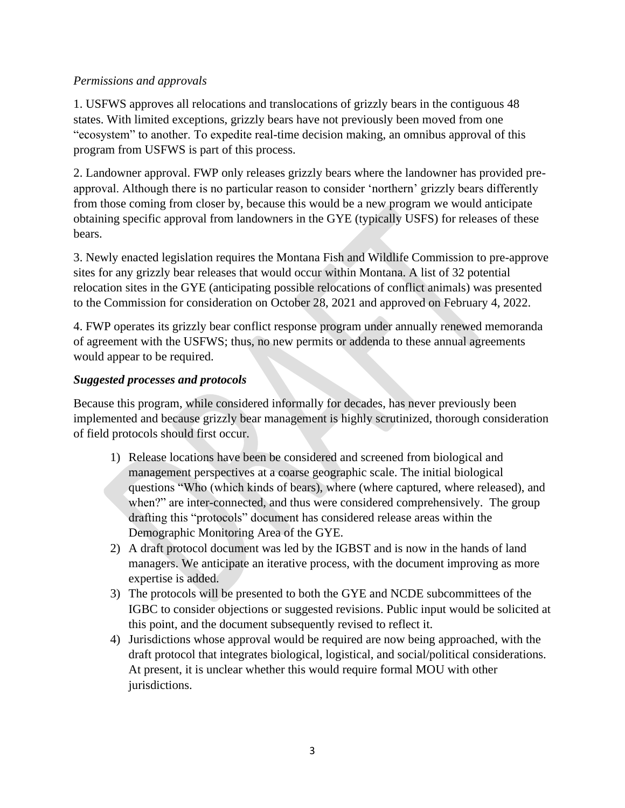# *Permissions and approvals*

1. USFWS approves all relocations and translocations of grizzly bears in the contiguous 48 states. With limited exceptions, grizzly bears have not previously been moved from one "ecosystem" to another. To expedite real-time decision making, an omnibus approval of this program from USFWS is part of this process.

2. Landowner approval. FWP only releases grizzly bears where the landowner has provided preapproval. Although there is no particular reason to consider 'northern' grizzly bears differently from those coming from closer by, because this would be a new program we would anticipate obtaining specific approval from landowners in the GYE (typically USFS) for releases of these bears.

3. Newly enacted legislation requires the Montana Fish and Wildlife Commission to pre-approve sites for any grizzly bear releases that would occur within Montana. A list of 32 potential relocation sites in the GYE (anticipating possible relocations of conflict animals) was presented to the Commission for consideration on October 28, 2021 and approved on February 4, 2022.

4. FWP operates its grizzly bear conflict response program under annually renewed memoranda of agreement with the USFWS; thus, no new permits or addenda to these annual agreements would appear to be required.

# *Suggested processes and protocols*

Because this program, while considered informally for decades, has never previously been implemented and because grizzly bear management is highly scrutinized, thorough consideration of field protocols should first occur.

- 1) Release locations have been be considered and screened from biological and management perspectives at a coarse geographic scale. The initial biological questions "Who (which kinds of bears), where (where captured, where released), and when?" are inter-connected, and thus were considered comprehensively. The group drafting this "protocols" document has considered release areas within the Demographic Monitoring Area of the GYE.
- 2) A draft protocol document was led by the IGBST and is now in the hands of land managers. We anticipate an iterative process, with the document improving as more expertise is added.
- 3) The protocols will be presented to both the GYE and NCDE subcommittees of the IGBC to consider objections or suggested revisions. Public input would be solicited at this point, and the document subsequently revised to reflect it.
- 4) Jurisdictions whose approval would be required are now being approached, with the draft protocol that integrates biological, logistical, and social/political considerations. At present, it is unclear whether this would require formal MOU with other jurisdictions.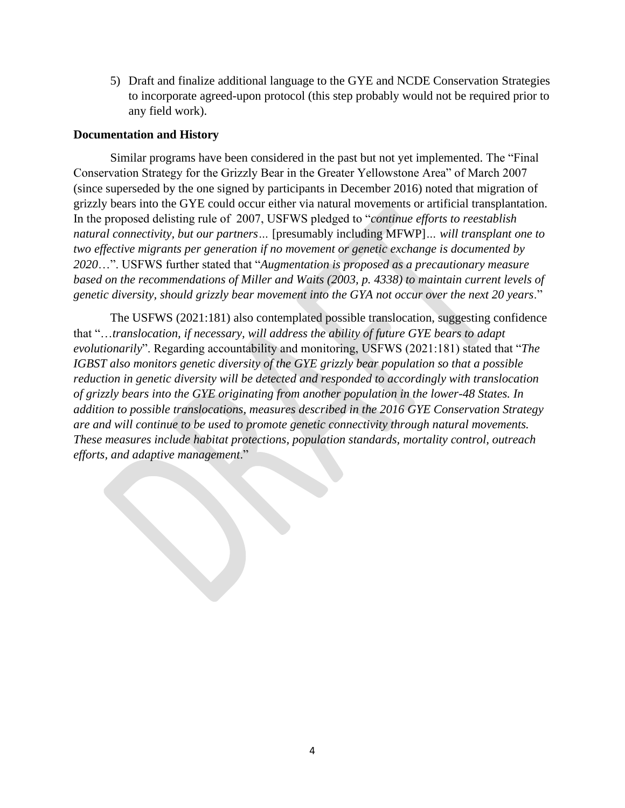5) Draft and finalize additional language to the GYE and NCDE Conservation Strategies to incorporate agreed-upon protocol (this step probably would not be required prior to any field work).

## **Documentation and History**

Similar programs have been considered in the past but not yet implemented. The "Final Conservation Strategy for the Grizzly Bear in the Greater Yellowstone Area" of March 2007 (since superseded by the one signed by participants in December 2016) noted that migration of grizzly bears into the GYE could occur either via natural movements or artificial transplantation. In the proposed delisting rule of 2007, USFWS pledged to "*continue efforts to reestablish natural connectivity, but our partners…* [presumably including MFWP]*… will transplant one to two effective migrants per generation if no movement or genetic exchange is documented by 2020*…". USFWS further stated that "*Augmentation is proposed as a precautionary measure based on the recommendations of Miller and Waits (2003, p. 4338) to maintain current levels of genetic diversity, should grizzly bear movement into the GYA not occur over the next 20 years*."

The USFWS (2021:181) also contemplated possible translocation, suggesting confidence that "…*translocation, if necessary, will address the ability of future GYE bears to adapt evolutionarily*". Regarding accountability and monitoring, USFWS (2021:181) stated that "*The IGBST also monitors genetic diversity of the GYE grizzly bear population so that a possible reduction in genetic diversity will be detected and responded to accordingly with translocation of grizzly bears into the GYE originating from another population in the lower-48 States. In addition to possible translocations, measures described in the 2016 GYE Conservation Strategy are and will continue to be used to promote genetic connectivity through natural movements. These measures include habitat protections, population standards, mortality control, outreach efforts, and adaptive management*."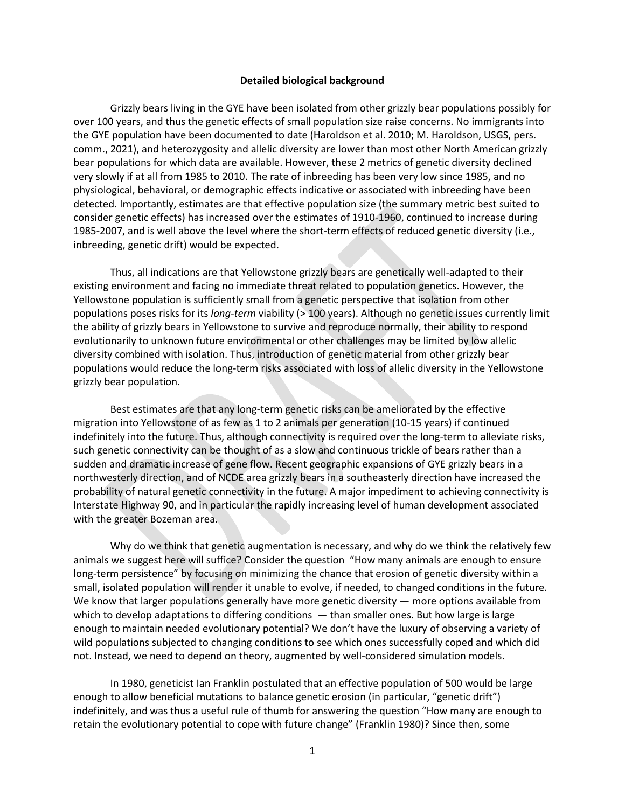#### **Detailed biological background**

Grizzly bears living in the GYE have been isolated from other grizzly bear populations possibly for over 100 years, and thus the genetic effects of small population size raise concerns. No immigrants into the GYE population have been documented to date (Haroldson et al. 2010; M. Haroldson, USGS, pers. comm., 2021), and heterozygosity and allelic diversity are lower than most other North American grizzly bear populations for which data are available. However, these 2 metrics of genetic diversity declined very slowly if at all from 1985 to 2010. The rate of inbreeding has been very low since 1985, and no physiological, behavioral, or demographic effects indicative or associated with inbreeding have been detected. Importantly, estimates are that effective population size (the summary metric best suited to consider genetic effects) has increased over the estimates of 1910-1960, continued to increase during 1985-2007, and is well above the level where the short-term effects of reduced genetic diversity (i.e., inbreeding, genetic drift) would be expected.

Thus, all indications are that Yellowstone grizzly bears are genetically well-adapted to their existing environment and facing no immediate threat related to population genetics. However, the Yellowstone population is sufficiently small from a genetic perspective that isolation from other populations poses risks for its *long-term* viability (> 100 years). Although no genetic issues currently limit the ability of grizzly bears in Yellowstone to survive and reproduce normally, their ability to respond evolutionarily to unknown future environmental or other challenges may be limited by low allelic diversity combined with isolation. Thus, introduction of genetic material from other grizzly bear populations would reduce the long-term risks associated with loss of allelic diversity in the Yellowstone grizzly bear population.

Best estimates are that any long-term genetic risks can be ameliorated by the effective migration into Yellowstone of as few as 1 to 2 animals per generation (10-15 years) if continued indefinitely into the future. Thus, although connectivity is required over the long-term to alleviate risks, such genetic connectivity can be thought of as a slow and continuous trickle of bears rather than a sudden and dramatic increase of gene flow. Recent geographic expansions of GYE grizzly bears in a northwesterly direction, and of NCDE area grizzly bears in a southeasterly direction have increased the probability of natural genetic connectivity in the future. A major impediment to achieving connectivity is Interstate Highway 90, and in particular the rapidly increasing level of human development associated with the greater Bozeman area.

Why do we think that genetic augmentation is necessary, and why do we think the relatively few animals we suggest here will suffice? Consider the question "How many animals are enough to ensure long-term persistence" by focusing on minimizing the chance that erosion of genetic diversity within a small, isolated population will render it unable to evolve, if needed, to changed conditions in the future. We know that larger populations generally have more genetic diversity — more options available from which to develop adaptations to differing conditions — than smaller ones. But how large is large enough to maintain needed evolutionary potential? We don't have the luxury of observing a variety of wild populations subjected to changing conditions to see which ones successfully coped and which did not. Instead, we need to depend on theory, augmented by well-considered simulation models.

In 1980, geneticist Ian Franklin postulated that an effective population of 500 would be large enough to allow beneficial mutations to balance genetic erosion (in particular, "genetic drift") indefinitely, and was thus a useful rule of thumb for answering the question "How many are enough to retain the evolutionary potential to cope with future change" (Franklin 1980)? Since then, some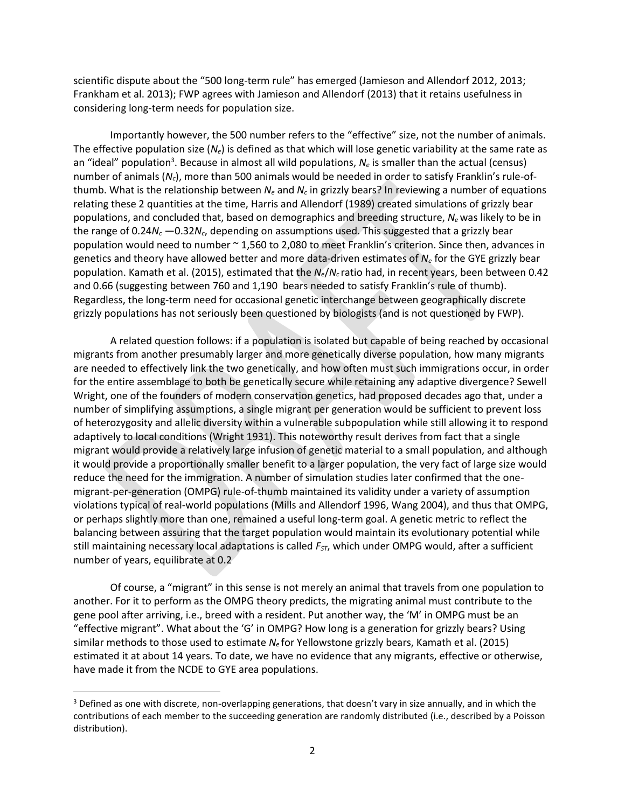scientific dispute about the "500 long-term rule" has emerged (Jamieson and Allendorf 2012, 2013; Frankham et al. 2013); FWP agrees with Jamieson and Allendorf (2013) that it retains usefulness in considering long-term needs for population size.

Importantly however, the 500 number refers to the "effective" size, not the number of animals. The effective population size (*Ne*) is defined as that which will lose genetic variability at the same rate as an "ideal" population<sup>3</sup>. Because in almost all wild populations,  $N_e$  is smaller than the actual (census) number of animals (*Nc*), more than 500 animals would be needed in order to satisfy Franklin's rule-ofthumb. What is the relationship between  $N_e$  and  $N_c$  in grizzly bears? In reviewing a number of equations relating these 2 quantities at the time, Harris and Allendorf (1989) created simulations of grizzly bear populations, and concluded that, based on demographics and breeding structure, *N<sup>e</sup>* was likely to be in the range of 0.24*N<sup>c</sup>* —0.32*Nc*, depending on assumptions used. This suggested that a grizzly bear population would need to number ~ 1,560 to 2,080 to meet Franklin's criterion. Since then, advances in genetics and theory have allowed better and more data-driven estimates of *N<sup>e</sup>* for the GYE grizzly bear population. Kamath et al. (2015), estimated that the *Ne*/*N<sup>c</sup>* ratio had, in recent years, been between 0.42 and 0.66 (suggesting between 760 and 1,190 bears needed to satisfy Franklin's rule of thumb). Regardless, the long-term need for occasional genetic interchange between geographically discrete grizzly populations has not seriously been questioned by biologists (and is not questioned by FWP).

A related question follows: if a population is isolated but capable of being reached by occasional migrants from another presumably larger and more genetically diverse population, how many migrants are needed to effectively link the two genetically, and how often must such immigrations occur, in order for the entire assemblage to both be genetically secure while retaining any adaptive divergence? Sewell Wright, one of the founders of modern conservation genetics, had proposed decades ago that, under a number of simplifying assumptions, a single migrant per generation would be sufficient to prevent loss of heterozygosity and allelic diversity within a vulnerable subpopulation while still allowing it to respond adaptively to local conditions (Wright 1931). This noteworthy result derives from fact that a single migrant would provide a relatively large infusion of genetic material to a small population, and although it would provide a proportionally smaller benefit to a larger population, the very fact of large size would reduce the need for the immigration. A number of simulation studies later confirmed that the onemigrant-per-generation (OMPG) rule-of-thumb maintained its validity under a variety of assumption violations typical of real-world populations (Mills and Allendorf 1996, Wang 2004), and thus that OMPG, or perhaps slightly more than one, remained a useful long-term goal. A genetic metric to reflect the balancing between assuring that the target population would maintain its evolutionary potential while still maintaining necessary local adaptations is called *FST*, which under OMPG would, after a sufficient number of years, equilibrate at 0.2

Of course, a "migrant" in this sense is not merely an animal that travels from one population to another. For it to perform as the OMPG theory predicts, the migrating animal must contribute to the gene pool after arriving, i.e., breed with a resident. Put another way, the 'M' in OMPG must be an "effective migrant". What about the 'G' in OMPG? How long is a generation for grizzly bears? Using similar methods to those used to estimate *N<sup>e</sup>* for Yellowstone grizzly bears, Kamath et al. (2015) estimated it at about 14 years. To date, we have no evidence that any migrants, effective or otherwise, have made it from the NCDE to GYE area populations.

<sup>&</sup>lt;sup>3</sup> Defined as one with discrete, non-overlapping generations, that doesn't vary in size annually, and in which the contributions of each member to the succeeding generation are randomly distributed (i.e., described by a Poisson distribution).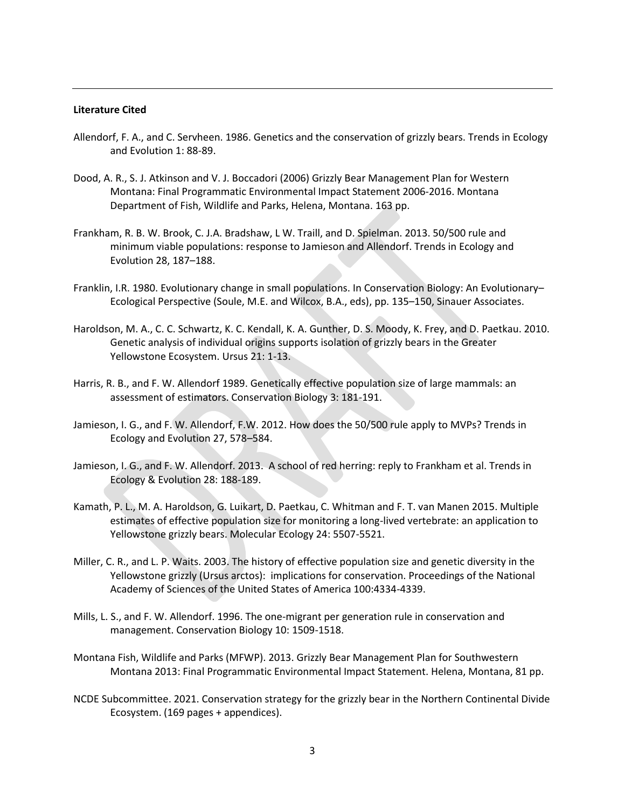#### **Literature Cited**

- Allendorf, F. A., and C. Servheen. 1986. Genetics and the conservation of grizzly bears. Trends in Ecology and Evolution 1: 88-89.
- Dood, A. R., S. J. Atkinson and V. J. Boccadori (2006) Grizzly Bear Management Plan for Western Montana: Final Programmatic Environmental Impact Statement 2006‐2016. Montana Department of Fish, Wildlife and Parks, Helena, Montana. 163 pp.
- Frankham, R. B. W. Brook, C. J.A. Bradshaw, L W. Traill, and D. Spielman. 2013. 50/500 rule and minimum viable populations: response to Jamieson and Allendorf. Trends in Ecology and Evolution 28, 187–188.
- Franklin, I.R. 1980. Evolutionary change in small populations. In Conservation Biology: An Evolutionary– Ecological Perspective (Soule, M.E. and Wilcox, B.A., eds), pp. 135–150, Sinauer Associates.
- Haroldson, M. A., C. C. Schwartz, K. C. Kendall, K. A. Gunther, D. S. Moody, K. Frey, and D. Paetkau. 2010. Genetic analysis of individual origins supports isolation of grizzly bears in the Greater Yellowstone Ecosystem. Ursus 21: 1-13.
- Harris, R. B., and F. W. Allendorf 1989. Genetically effective population size of large mammals: an assessment of estimators. Conservation Biology 3: 181-191.
- Jamieson, I. G., and F. W. Allendorf, F.W. 2012. How does the 50/500 rule apply to MVPs? Trends in Ecology and Evolution 27, 578–584.
- Jamieson, I. G., and F. W. Allendorf. 2013. A school of red herring: reply to Frankham et al. Trends in Ecology & Evolution 28: 188-189.
- Kamath, P. L., M. A. Haroldson, G. Luikart, D. Paetkau, C. Whitman and F. T. van Manen 2015. Multiple estimates of effective population size for monitoring a long-lived vertebrate: an application to Yellowstone grizzly bears. Molecular Ecology 24: 5507-5521.
- Miller, C. R., and L. P. Waits. 2003. The history of effective population size and genetic diversity in the Yellowstone grizzly (Ursus arctos): implications for conservation. Proceedings of the National Academy of Sciences of the United States of America 100:4334-4339.
- Mills, L. S., and F. W. Allendorf. 1996. The one-migrant per generation rule in conservation and management. Conservation Biology 10: 1509-1518.
- Montana Fish, Wildlife and Parks (MFWP). 2013. Grizzly Bear Management Plan for Southwestern Montana 2013: Final Programmatic Environmental Impact Statement. Helena, Montana, 81 pp.
- NCDE Subcommittee. 2021. Conservation strategy for the grizzly bear in the Northern Continental Divide Ecosystem. (169 pages + appendices).